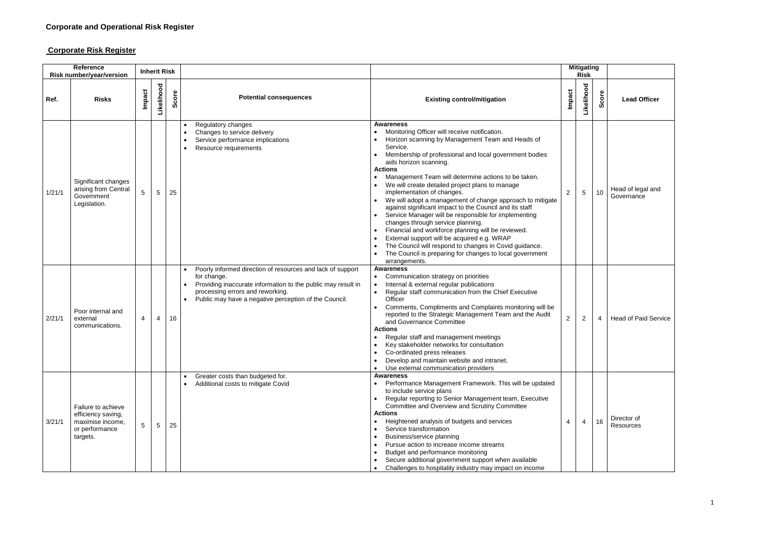## **Corporate Risk Register**

| Reference<br>Risk number/year/version |                                                                                            | <b>Inherit Risk</b> |                 |      |                                                                                                                                                                                                                                        |                                                                                                                                                                                                                                                                                                                                                                                                                                                                                                                                                                                                                                                                                                                                                                                                                                           |                | <b>Mitigating</b><br><b>Risk</b> |       |                                 |
|---------------------------------------|--------------------------------------------------------------------------------------------|---------------------|-----------------|------|----------------------------------------------------------------------------------------------------------------------------------------------------------------------------------------------------------------------------------------|-------------------------------------------------------------------------------------------------------------------------------------------------------------------------------------------------------------------------------------------------------------------------------------------------------------------------------------------------------------------------------------------------------------------------------------------------------------------------------------------------------------------------------------------------------------------------------------------------------------------------------------------------------------------------------------------------------------------------------------------------------------------------------------------------------------------------------------------|----------------|----------------------------------|-------|---------------------------------|
| Ref.                                  | <b>Risks</b>                                                                               | Impact              | Likelihood      | core | <b>Potential consequences</b>                                                                                                                                                                                                          | <b>Existing control/mitigation</b>                                                                                                                                                                                                                                                                                                                                                                                                                                                                                                                                                                                                                                                                                                                                                                                                        | Impact         | Likelihood                       | Score | <b>Lead Officer</b>             |
| 1/21/1                                | Significant changes<br>arising from Central<br>Government<br>Legislation.                  | 5                   | $\overline{5}$  | 25   | Regulatory changes<br>Changes to service delivery<br>Service performance implications<br>Resource requirements                                                                                                                         | Awareness<br>Monitoring Officer will receive notification.<br>Horizon scanning by Management Team and Heads of<br>Service.<br>Membership of professional and local government bodies<br>aids horizon scanning.<br><b>Actions</b><br>Management Team will determine actions to be taken.<br>We will create detailed project plans to manage<br>implementation of changes.<br>We will adopt a management of change approach to mitigate<br>against significant impact to the Council and its staff<br>Service Manager will be responsible for implementing<br>changes through service planning.<br>Financial and workforce planning will be reviewed.<br>External support will be acquired e.g. WRAP<br>The Council will respond to changes in Covid guidance.<br>The Council is preparing for changes to local government<br>arrangements. | $\overline{2}$ | $5\phantom{.0}$                  | 10    | Head of legal and<br>Governance |
| 2/21/1                                | Poor internal and<br>external<br>communications.                                           | 4                   | 4               | 16   | Poorly informed direction of resources and lack of support<br>for change.<br>Providing inaccurate information to the public may result in<br>processing errors and reworking.<br>Public may have a negative perception of the Council. | <b>Awareness</b><br>Communication strategy on priorities<br>Internal & external regular publications<br>Regular staff communication from the Chief Executive<br>Officer<br>Comments, Compliments and Complaints monitoring will be<br>reported to the Strategic Management Team and the Audit<br>and Governance Committee<br><b>Actions</b><br>Regular staff and management meetings<br>Key stakeholder networks for consultation<br>Co-ordinated press releases<br>Develop and maintain website and intranet.<br>Use external communication providers                                                                                                                                                                                                                                                                                    | $\overline{2}$ | $\overline{2}$                   | 4     | <b>Head of Paid Service</b>     |
| 3/21/1                                | Failure to achieve<br>efficiency saving,<br>maximise income,<br>or performance<br>targets. | 5                   | $5\phantom{.0}$ | 25   | Greater costs than budgeted for.<br>Additional costs to mitigate Covid                                                                                                                                                                 | <b>Awareness</b><br>Performance Management Framework. This will be updated<br>to include service plans<br>Regular reporting to Senior Management team, Executive<br>Committee and Overview and Scrutiny Committee<br><b>Actions</b><br>Heightened analysis of budgets and services<br>Service transformation<br>Business/service planning<br>Pursue action to increase income streams<br>Budget and performance monitoring<br>Secure additional government support when available<br>Challenges to hospitality industry may impact on income                                                                                                                                                                                                                                                                                              | 4              | 4                                | 16    | Director of<br>Resources        |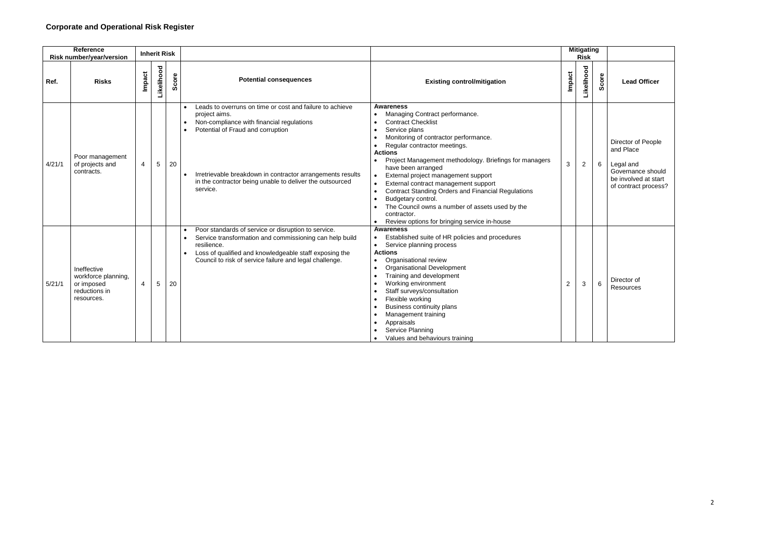| <b>Reference</b><br><b>Risk number/year/version</b> |                                                                                 |                | <b>Inherit Risk</b> |           |                                                                                                                                                                                                                                                                                                   | <b>Mitigating</b><br><b>Risk</b>                                                                                                                                                                                                                                                                                                                                                                                                                                                                                                                                                                                                                 |                      |       |                                                                                                                   |  |
|-----------------------------------------------------|---------------------------------------------------------------------------------|----------------|---------------------|-----------|---------------------------------------------------------------------------------------------------------------------------------------------------------------------------------------------------------------------------------------------------------------------------------------------------|--------------------------------------------------------------------------------------------------------------------------------------------------------------------------------------------------------------------------------------------------------------------------------------------------------------------------------------------------------------------------------------------------------------------------------------------------------------------------------------------------------------------------------------------------------------------------------------------------------------------------------------------------|----------------------|-------|-------------------------------------------------------------------------------------------------------------------|--|
| Ref.                                                | <b>Risks</b>                                                                    | <b>Impact</b>  | Likelihood          | core<br>Ŏ | <b>Potential consequences</b>                                                                                                                                                                                                                                                                     | <b>Existing control/mitigation</b>                                                                                                                                                                                                                                                                                                                                                                                                                                                                                                                                                                                                               | Likelihood<br>Impact | Score | <b>Lead Officer</b>                                                                                               |  |
| 4/21/1                                              | Poor management<br>of projects and<br>contracts.                                | $\overline{4}$ | $\sqrt{5}$          | 20        | Leads to overruns on time or cost and failure to achieve<br>project aims.<br>Non-compliance with financial regulations<br>Potential of Fraud and corruption<br>Irretrievable breakdown in contractor arrangements results<br>in the contractor being unable to deliver the outsourced<br>service. | <b>Awareness</b><br>Managing Contract performance.<br>$\bullet$<br><b>Contract Checklist</b><br>Service plans<br>Monitoring of contractor performance.<br>Regular contractor meetings.<br>$\bullet$<br><b>Actions</b><br>Project Management methodology. Briefings for managers<br>$\mathbf{3}$<br>have been arranged<br>External project management support<br>$\bullet$<br>External contract management support<br><b>Contract Standing Orders and Financial Regulations</b><br>$\bullet$<br>Budgetary control.<br>$\bullet$<br>The Council owns a number of assets used by the<br>contractor.<br>Review options for bringing service in-house | $\overline{2}$       | 6     | Director of People<br>and Place<br>Legal and<br>Governance should<br>be involved at start<br>of contract process? |  |
| 5/21/1                                              | Ineffective<br>workforce planning,<br>or imposed<br>reductions in<br>resources. | 4              | 5                   | 20        | Poor standards of service or disruption to service.<br>Service transformation and commissioning can help build<br>resilience.<br>Loss of qualified and knowledgeable staff exposing the<br>Council to risk of service failure and legal challenge.                                                | <b>Awareness</b><br>Established suite of HR policies and procedures<br>$\bullet$<br>Service planning process<br><b>Actions</b><br>Organisational review<br>$\bullet$<br><b>Organisational Development</b><br>Training and development<br>Working environment<br>2<br>Staff surveys/consultation<br>Flexible working<br><b>Business continuity plans</b><br>Management training<br>Appraisals<br>$\bullet$<br>Service Planning<br>Values and behaviours training                                                                                                                                                                                  | 3                    | 6     | Director of<br>Resources                                                                                          |  |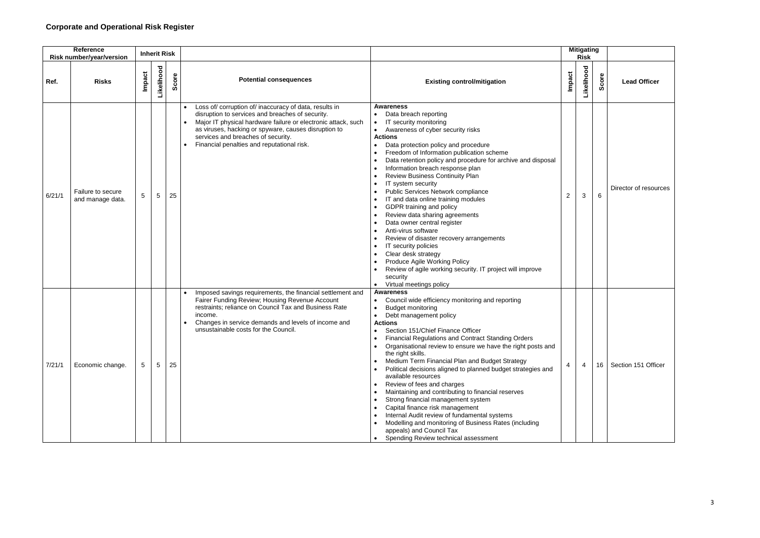## **Corporate and Operational Risk Register**

| Reference<br><b>Risk number/year/version</b> |                                       | <b>Inherit Risk</b> |                 |     |                                                                                                                                                                                                                                                                                                                         |                                                                                                                                                                                                                                                                                                                                                                                                                                                                                                                                                                                                                                                                                                                                                                                                                                                            |                |                  |                 |                       | <b>Mitigating</b><br><b>Risk</b> |  |  |
|----------------------------------------------|---------------------------------------|---------------------|-----------------|-----|-------------------------------------------------------------------------------------------------------------------------------------------------------------------------------------------------------------------------------------------------------------------------------------------------------------------------|------------------------------------------------------------------------------------------------------------------------------------------------------------------------------------------------------------------------------------------------------------------------------------------------------------------------------------------------------------------------------------------------------------------------------------------------------------------------------------------------------------------------------------------------------------------------------------------------------------------------------------------------------------------------------------------------------------------------------------------------------------------------------------------------------------------------------------------------------------|----------------|------------------|-----------------|-----------------------|----------------------------------|--|--|
| Ref.                                         | <b>Risks</b>                          | Impact              | Likelihood      | ore | <b>Potential consequences</b>                                                                                                                                                                                                                                                                                           | <b>Existing control/mitigation</b>                                                                                                                                                                                                                                                                                                                                                                                                                                                                                                                                                                                                                                                                                                                                                                                                                         | Impact         | <b>ikelihood</b> | Score           | <b>Lead Officer</b>   |                                  |  |  |
| 6/21/1                                       | Failure to secure<br>and manage data. | 5                   | 5               | 25  | Loss of/ corruption of/ inaccuracy of data, results in<br>disruption to services and breaches of security.<br>Major IT physical hardware failure or electronic attack, such<br>as viruses, hacking or spyware, causes disruption to<br>services and breaches of security.<br>Financial penalties and reputational risk. | <b>Awareness</b><br>Data breach reporting<br>$\bullet$<br>IT security monitoring<br>$\bullet$<br>Awareness of cyber security risks<br>$\bullet$<br><b>Actions</b><br>Data protection policy and procedure<br>Freedom of Information publication scheme<br>Data retention policy and procedure for archive and disposal<br>Information breach response plan<br><b>Review Business Continuity Plan</b><br>IT system security<br>Public Services Network compliance<br>IT and data online training modules<br>GDPR training and policy<br>Review data sharing agreements<br>Data owner central register<br>Anti-virus software<br>Review of disaster recovery arrangements<br>IT security policies<br>Clear desk strategy<br>Produce Agile Working Policy<br>Review of agile working security. IT project will improve<br>security<br>Virtual meetings policy | $\overline{2}$ | $\mathbf{3}$     | 6               | Director of resources |                                  |  |  |
| 7/21/1                                       | Economic change.                      | 5                   | $5\overline{)}$ | 25  | Imposed savings requirements, the financial settlement and<br>Fairer Funding Review; Housing Revenue Account<br>restraints; reliance on Council Tax and Business Rate<br>income.<br>Changes in service demands and levels of income and<br>unsustainable costs for the Council.                                         | <b>Awareness</b><br>Council wide efficiency monitoring and reporting<br><b>Budget monitoring</b><br>Debt management policy<br><b>Actions</b><br>Section 151/Chief Finance Officer<br><b>Financial Regulations and Contract Standing Orders</b><br>Organisational review to ensure we have the right posts and<br>the right skills.<br>Medium Term Financial Plan and Budget Strategy<br>Political decisions aligned to planned budget strategies and<br>available resources<br>Review of fees and charges<br>Maintaining and contributing to financial reserves<br>Strong financial management system<br>Capital finance risk management<br>Internal Audit review of fundamental systems<br>Modelling and monitoring of Business Rates (including<br>appeals) and Council Tax<br>Spending Review technical assessment<br>$\bullet$                         | $\overline{4}$ | 4                | 16 <sup>1</sup> | Section 151 Officer   |                                  |  |  |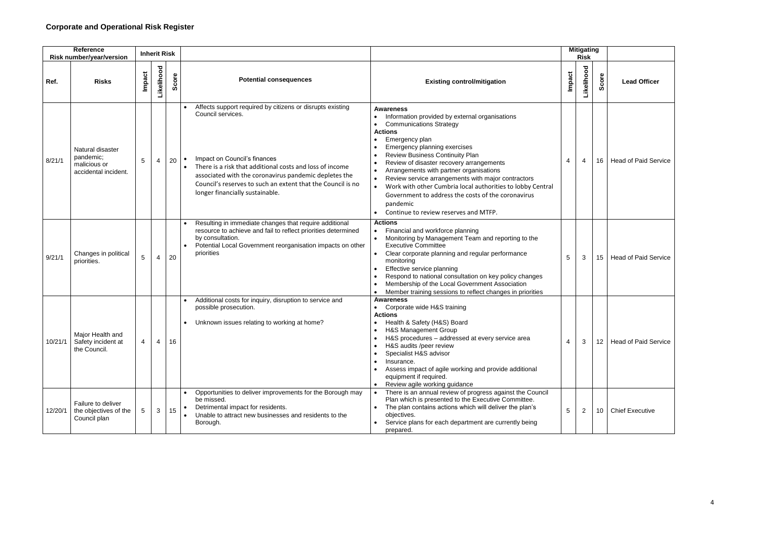| Reference<br><b>Risk number/year/version</b> |                                                                       | <b>Inherit Risk</b> |                |     |                                                                                                                                                                                                                                                                                                                                                    | <b>Mitigating</b><br><b>Risk</b>                                                                                                                                                                                                                                                                                                                                                                                                                                                                                                                      |                |                |                  |                             |
|----------------------------------------------|-----------------------------------------------------------------------|---------------------|----------------|-----|----------------------------------------------------------------------------------------------------------------------------------------------------------------------------------------------------------------------------------------------------------------------------------------------------------------------------------------------------|-------------------------------------------------------------------------------------------------------------------------------------------------------------------------------------------------------------------------------------------------------------------------------------------------------------------------------------------------------------------------------------------------------------------------------------------------------------------------------------------------------------------------------------------------------|----------------|----------------|------------------|-----------------------------|
| Ref.                                         | <b>Risks</b>                                                          | <b>Impact</b>       | Likelihood     | ore | <b>Potential consequences</b>                                                                                                                                                                                                                                                                                                                      | <b>Existing control/mitigation</b>                                                                                                                                                                                                                                                                                                                                                                                                                                                                                                                    | <b>Impact</b>  | Likelihood     | Score            | <b>Lead Officer</b>         |
| 8/21/1                                       | Natural disaster<br>pandemic;<br>malicious or<br>accidental incident. | $5\overline{)}$     | $\overline{4}$ | 20  | Affects support required by citizens or disrupts existing<br>Council services.<br>Impact on Council's finances<br>$\bullet$<br>There is a risk that additional costs and loss of income<br>associated with the coronavirus pandemic depletes the<br>Council's reserves to such an extent that the Council is no<br>longer financially sustainable. | <b>Awareness</b><br>Information provided by external organisations<br><b>Communications Strategy</b><br><b>Actions</b><br>Emergency plan<br>Emergency planning exercises<br><b>Review Business Continuity Plan</b><br>Review of disaster recovery arrangements<br>Arrangements with partner organisations<br>Review service arrangements with major contractors<br>Work with other Cumbria local authorities to lobby Central<br>$\bullet$<br>Government to address the costs of the coronavirus<br>pandemic<br>Continue to review reserves and MTFP. | -4             | 4              | 16               | <b>Head of Paid Service</b> |
| 9/21/1                                       | Changes in political<br>priorities.                                   | 5                   | $\overline{4}$ | 20  | Resulting in immediate changes that require additional<br>resource to achieve and fail to reflect priorities determined<br>by consultation.<br>Potential Local Government reorganisation impacts on other<br>priorities                                                                                                                            | <b>Actions</b><br>Financial and workforce planning<br>Monitoring by Management Team and reporting to the<br><b>Executive Committee</b><br>Clear corporate planning and regular performance<br>monitoring<br>Effective service planning<br>Respond to national consultation on key policy changes<br>Membership of the Local Government Association<br>Member training sessions to reflect changes in priorities                                                                                                                                       | 5              | 3              | 15               | <b>Head of Paid Service</b> |
| 10/21/1                                      | Major Health and<br>Safety incident at<br>the Council.                | 4                   | 4              | 16  | Additional costs for inquiry, disruption to service and<br>possible prosecution.<br>Unknown issues relating to working at home?                                                                                                                                                                                                                    | <b>Awareness</b><br>Corporate wide H&S training<br><b>Actions</b><br>Health & Safety (H&S) Board<br>H&S Management Group<br>$\bullet$<br>H&S procedures - addressed at every service area<br>H&S audits /peer review<br>Specialist H&S advisor<br>Insurance.<br>Assess impact of agile working and provide additional<br>equipment if required.<br>Review agile working guidance                                                                                                                                                                      | $\overline{4}$ | 3              | 12 <sup>12</sup> | <b>Head of Paid Service</b> |
| 12/20/1                                      | Failure to deliver<br>the objectives of the<br>Council plan           | 5                   | 3              | 15  | Opportunities to deliver improvements for the Borough may<br>be missed.<br>Detrimental impact for residents.<br>Unable to attract new businesses and residents to the<br>Borough.                                                                                                                                                                  | There is an annual review of progress against the Council<br>Plan which is presented to the Executive Committee.<br>The plan contains actions which will deliver the plan's<br>objectives.<br>Service plans for each department are currently being<br>prepared.                                                                                                                                                                                                                                                                                      | 5              | $\overline{2}$ | 10               | <b>Chief Executive</b>      |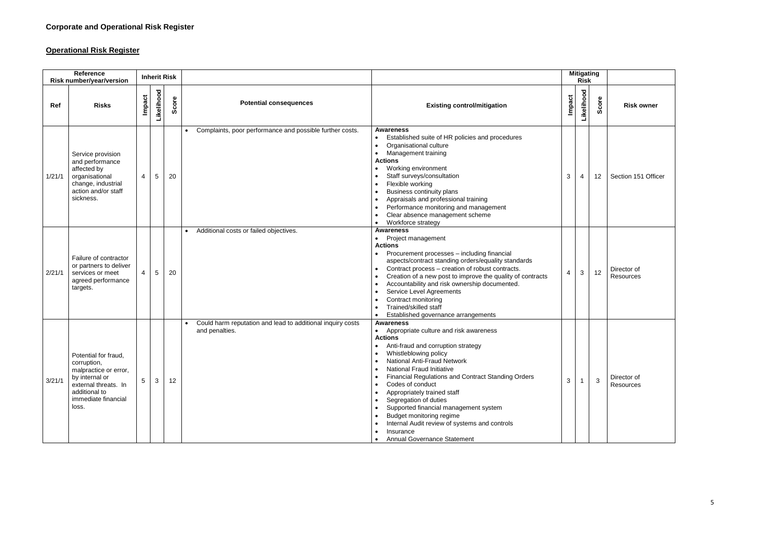## **Operational Risk Register**

| <b>Reference</b><br>Risk number/year/version |                                                                                                                                                         | <b>Inherit Risk</b> |            |           |                                                                                           |                                                                                                                                                                                                                                                                                                                                                                                                                                                                                                                                                                   |        | <b>Mitigating</b><br><b>Risk</b> |              |                          |
|----------------------------------------------|---------------------------------------------------------------------------------------------------------------------------------------------------------|---------------------|------------|-----------|-------------------------------------------------------------------------------------------|-------------------------------------------------------------------------------------------------------------------------------------------------------------------------------------------------------------------------------------------------------------------------------------------------------------------------------------------------------------------------------------------------------------------------------------------------------------------------------------------------------------------------------------------------------------------|--------|----------------------------------|--------------|--------------------------|
| Ref                                          | <b>Risks</b>                                                                                                                                            | Impact              | Likelihood | core<br>ഗ | <b>Potential consequences</b>                                                             | <b>Existing control/mitigation</b>                                                                                                                                                                                                                                                                                                                                                                                                                                                                                                                                | Impact | Likelihood                       | core<br>Ō    | <b>Risk owner</b>        |
| 1/21/1                                       | Service provision<br>and performance<br>affected by<br>organisational<br>change, industrial<br>action and/or staff<br>sickness.                         | 4                   | 5          | 20        | Complaints, poor performance and possible further costs.                                  | <b>Awareness</b><br>Established suite of HR policies and procedures<br>Organisational culture<br>$\bullet$<br>Management training<br>$\bullet$<br><b>Actions</b><br>Working environment<br>Staff surveys/consultation<br>$\bullet$<br>Flexible working<br>Business continuity plans<br>Appraisals and professional training<br>Performance monitoring and management<br>Clear absence management scheme<br>Workforce strategy<br>$\bullet$                                                                                                                        | 3      | 4                                | 12           | Section 151 Officer      |
| 2/21/1                                       | Failure of contractor<br>or partners to deliver<br>services or meet<br>agreed performance<br>targets.                                                   | 4                   | 5          | 20        | Additional costs or failed objectives.                                                    | <b>Awareness</b><br>Project management<br>$\bullet$<br><b>Actions</b><br>Procurement processes - including financial<br>aspects/contract standing orders/equality standards<br>Contract process - creation of robust contracts.<br>Creation of a new post to improve the quality of contracts<br>Accountability and risk ownership documented.<br>Service Level Agreements<br>Contract monitoring<br>Trained/skilled staff<br>Established governance arrangements<br>$\bullet$                                                                                    | 4      | 3                                | 12           | Director of<br>Resources |
| 3/21/1                                       | Potential for fraud,<br>corruption,<br>malpractice or error,<br>by internal or<br>external threats. In<br>additional to<br>immediate financial<br>loss. | 5                   | 3          | 12        | Could harm reputation and lead to additional inquiry costs<br>$\bullet$<br>and penalties. | <b>Awareness</b><br>Appropriate culture and risk awareness<br>$\bullet$<br><b>Actions</b><br>Anti-fraud and corruption strategy<br>Whistleblowing policy<br><b>National Anti-Fraud Network</b><br><b>National Fraud Initiative</b><br><b>Financial Regulations and Contract Standing Orders</b><br>Codes of conduct<br>Appropriately trained staff<br>$\bullet$<br>Segregation of duties<br>Supported financial management system<br>Budget monitoring regime<br>Internal Audit review of systems and controls<br>Insurance<br><b>Annual Governance Statement</b> | 3      |                                  | $\mathbf{3}$ | Director of<br>Resources |